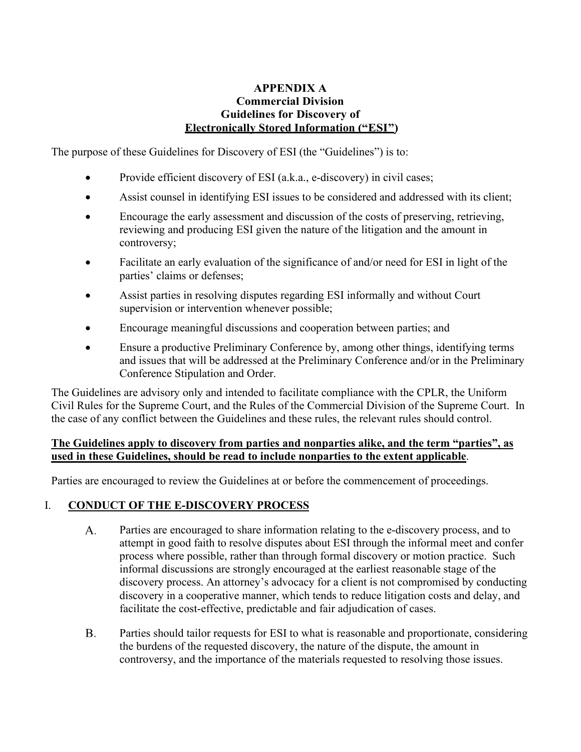#### **APPENDIX A Commercial Division Guidelines for Discovery of Electronically Stored Information ("ESI")**

The purpose of these Guidelines for Discovery of ESI (the "Guidelines") is to:

- Provide efficient discovery of ESI (a.k.a., e-discovery) in civil cases;
- Assist counsel in identifying ESI issues to be considered and addressed with its client;
- Encourage the early assessment and discussion of the costs of preserving, retrieving, reviewing and producing ESI given the nature of the litigation and the amount in controversy;
- Facilitate an early evaluation of the significance of and/or need for ESI in light of the parties' claims or defenses;
- Assist parties in resolving disputes regarding ESI informally and without Court supervision or intervention whenever possible;
- Encourage meaningful discussions and cooperation between parties; and
- Ensure a productive Preliminary Conference by, among other things, identifying terms and issues that will be addressed at the Preliminary Conference and/or in the Preliminary Conference Stipulation and Order.

The Guidelines are advisory only and intended to facilitate compliance with the CPLR, the Uniform Civil Rules for the Supreme Court, and the Rules of the Commercial Division of the Supreme Court. In the case of any conflict between the Guidelines and these rules, the relevant rules should control.

#### **The Guidelines apply to discovery from parties and nonparties alike, and the term "parties", as used in these Guidelines, should be read to include nonparties to the extent applicable**.

Parties are encouraged to review the Guidelines at or before the commencement of proceedings.

# I. **CONDUCT OF THE E-DISCOVERY PROCESS**

- A. Parties are encouraged to share information relating to the e-discovery process, and to attempt in good faith to resolve disputes about ESI through the informal meet and confer process where possible, rather than through formal discovery or motion practice. Such informal discussions are strongly encouraged at the earliest reasonable stage of the discovery process. An attorney's advocacy for a client is not compromised by conducting discovery in a cooperative manner, which tends to reduce litigation costs and delay, and facilitate the cost-effective, predictable and fair adjudication of cases.
- $B<sub>1</sub>$ Parties should tailor requests for ESI to what is reasonable and proportionate, considering the burdens of the requested discovery, the nature of the dispute, the amount in controversy, and the importance of the materials requested to resolving those issues.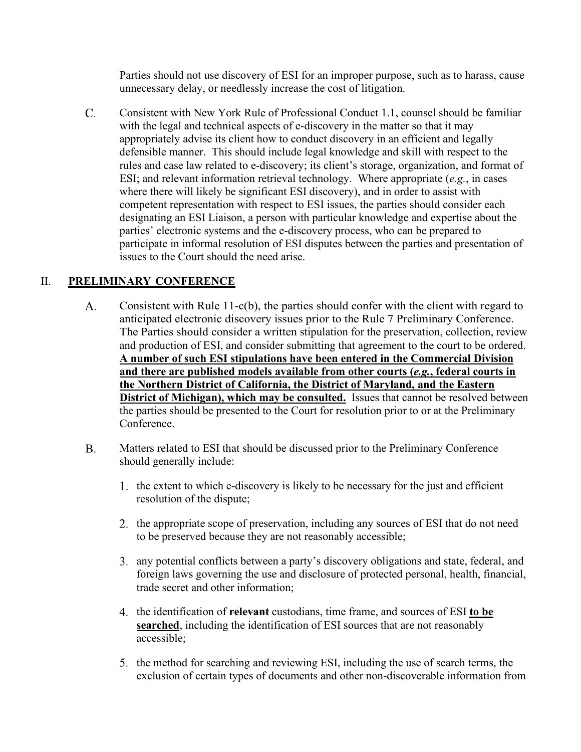Parties should not use discovery of ESI for an improper purpose, such as to harass, cause unnecessary delay, or needlessly increase the cost of litigation.

 $C_{\cdot}$ Consistent with New York Rule of Professional Conduct 1.1, counsel should be familiar with the legal and technical aspects of e-discovery in the matter so that it may appropriately advise its client how to conduct discovery in an efficient and legally defensible manner. This should include legal knowledge and skill with respect to the rules and case law related to e-discovery; its client's storage, organization, and format of ESI; and relevant information retrieval technology. Where appropriate (*e.g.*, in cases where there will likely be significant ESI discovery), and in order to assist with competent representation with respect to ESI issues, the parties should consider each designating an ESI Liaison, a person with particular knowledge and expertise about the parties' electronic systems and the e-discovery process, who can be prepared to participate in informal resolution of ESI disputes between the parties and presentation of issues to the Court should the need arise.

#### II. **PRELIMINARY CONFERENCE**

- $A_{\cdot}$ Consistent with Rule 11-c(b), the parties should confer with the client with regard to anticipated electronic discovery issues prior to the Rule 7 Preliminary Conference. The Parties should consider a written stipulation for the preservation, collection, review and production of ESI, and consider submitting that agreement to the court to be ordered. **A number of such ESI stipulations have been entered in the Commercial Division and there are published models available from other courts (***e.g.***, federal courts in the Northern District of California, the District of Maryland, and the Eastern District of Michigan), which may be consulted.** Issues that cannot be resolved between the parties should be presented to the Court for resolution prior to or at the Preliminary Conference.
- **B.** Matters related to ESI that should be discussed prior to the Preliminary Conference should generally include:
	- 1. the extent to which e-discovery is likely to be necessary for the just and efficient resolution of the dispute;
	- the appropriate scope of preservation, including any sources of ESI that do not need to be preserved because they are not reasonably accessible;
	- any potential conflicts between a party's discovery obligations and state, federal, and foreign laws governing the use and disclosure of protected personal, health, financial, trade secret and other information;
	- the identification of **relevant** custodians, time frame, and sources of ESI **to be searched**, including the identification of ESI sources that are not reasonably accessible;
	- 5. the method for searching and reviewing ESI, including the use of search terms, the exclusion of certain types of documents and other non-discoverable information from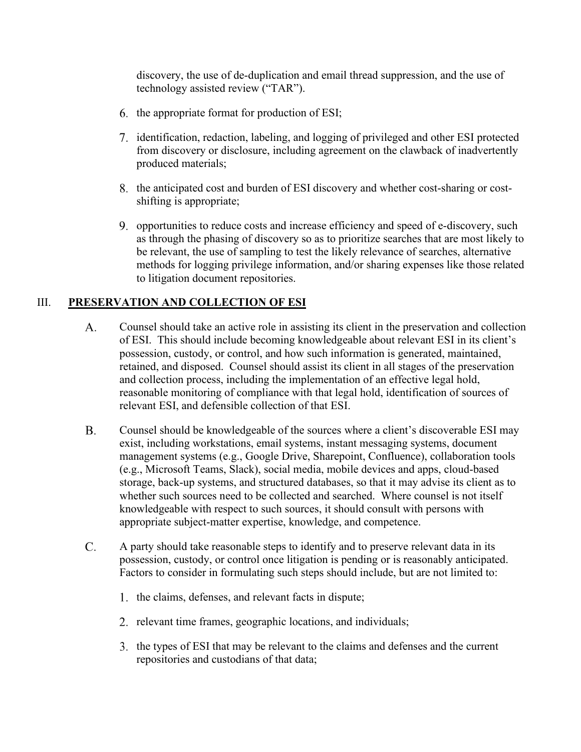discovery, the use of de-duplication and email thread suppression, and the use of technology assisted review ("TAR").

- 6. the appropriate format for production of ESI;
- identification, redaction, labeling, and logging of privileged and other ESI protected from discovery or disclosure, including agreement on the clawback of inadvertently produced materials;
- 8. the anticipated cost and burden of ESI discovery and whether cost-sharing or costshifting is appropriate;
- opportunities to reduce costs and increase efficiency and speed of e-discovery, such as through the phasing of discovery so as to prioritize searches that are most likely to be relevant, the use of sampling to test the likely relevance of searches, alternative methods for logging privilege information, and/or sharing expenses like those related to litigation document repositories.

#### III. **PRESERVATION AND COLLECTION OF ESI**

- A. Counsel should take an active role in assisting its client in the preservation and collection of ESI. This should include becoming knowledgeable about relevant ESI in its client's possession, custody, or control, and how such information is generated, maintained, retained, and disposed. Counsel should assist its client in all stages of the preservation and collection process, including the implementation of an effective legal hold, reasonable monitoring of compliance with that legal hold, identification of sources of relevant ESI, and defensible collection of that ESI.
- $B<sub>1</sub>$ Counsel should be knowledgeable of the sources where a client's discoverable ESI may exist, including workstations, email systems, instant messaging systems, document management systems (e.g., Google Drive, Sharepoint, Confluence), collaboration tools (e.g., Microsoft Teams, Slack), social media, mobile devices and apps, cloud-based storage, back-up systems, and structured databases, so that it may advise its client as to whether such sources need to be collected and searched. Where counsel is not itself knowledgeable with respect to such sources, it should consult with persons with appropriate subject-matter expertise, knowledge, and competence.
- $C.$ A party should take reasonable steps to identify and to preserve relevant data in its possession, custody, or control once litigation is pending or is reasonably anticipated. Factors to consider in formulating such steps should include, but are not limited to:
	- 1. the claims, defenses, and relevant facts in dispute;
	- 2. relevant time frames, geographic locations, and individuals;
	- 3. the types of ESI that may be relevant to the claims and defenses and the current repositories and custodians of that data;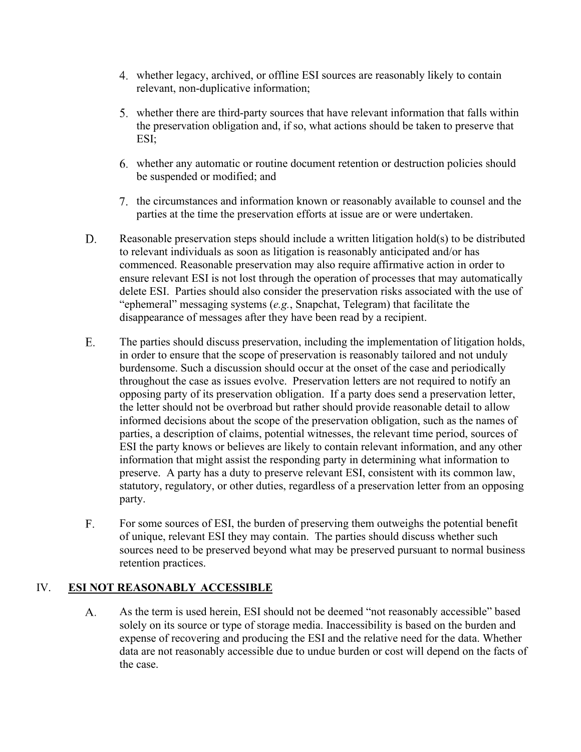- whether legacy, archived, or offline ESI sources are reasonably likely to contain relevant, non-duplicative information;
- whether there are third-party sources that have relevant information that falls within the preservation obligation and, if so, what actions should be taken to preserve that ESI;
- whether any automatic or routine document retention or destruction policies should be suspended or modified; and
- the circumstances and information known or reasonably available to counsel and the parties at the time the preservation efforts at issue are or were undertaken.
- D. Reasonable preservation steps should include a written litigation hold(s) to be distributed to relevant individuals as soon as litigation is reasonably anticipated and/or has commenced. Reasonable preservation may also require affirmative action in order to ensure relevant ESI is not lost through the operation of processes that may automatically delete ESI. Parties should also consider the preservation risks associated with the use of "ephemeral" messaging systems (*e.g.*, Snapchat, Telegram) that facilitate the disappearance of messages after they have been read by a recipient.
- E. The parties should discuss preservation, including the implementation of litigation holds, in order to ensure that the scope of preservation is reasonably tailored and not unduly burdensome. Such a discussion should occur at the onset of the case and periodically throughout the case as issues evolve. Preservation letters are not required to notify an opposing party of its preservation obligation. If a party does send a preservation letter, the letter should not be overbroad but rather should provide reasonable detail to allow informed decisions about the scope of the preservation obligation, such as the names of parties, a description of claims, potential witnesses, the relevant time period, sources of ESI the party knows or believes are likely to contain relevant information, and any other information that might assist the responding party in determining what information to preserve. A party has a duty to preserve relevant ESI, consistent with its common law, statutory, regulatory, or other duties, regardless of a preservation letter from an opposing party.
- $F<sub>1</sub>$ For some sources of ESI, the burden of preserving them outweighs the potential benefit of unique, relevant ESI they may contain. The parties should discuss whether such sources need to be preserved beyond what may be preserved pursuant to normal business retention practices.

# IV. **ESI NOT REASONABLY ACCESSIBLE**

A. As the term is used herein, ESI should not be deemed "not reasonably accessible" based solely on its source or type of storage media. Inaccessibility is based on the burden and expense of recovering and producing the ESI and the relative need for the data. Whether data are not reasonably accessible due to undue burden or cost will depend on the facts of the case.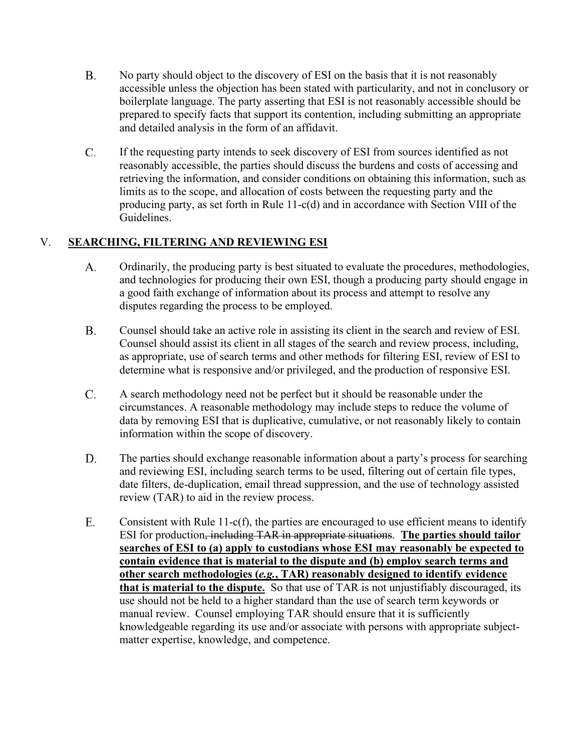- **B.** No party should object to the discovery of ESI on the basis that it is not reasonably accessible unless the objection has been stated with particularity, and not in conclusory or boilerplate language. The party asserting that ESI is not reasonably accessible should be prepared to specify facts that support its contention, including submitting an appropriate and detailed analysis in the form of an affidavit.
- $C_{\cdot}$ If the requesting party intends to seek discovery of ESI from sources identified as not reasonably accessible, the parties should discuss the burdens and costs of accessing and retrieving the information, and consider conditions on obtaining this information, such as limits as to the scope, and allocation of costs between the requesting party and the producing party, as set forth in Rule 11-c(d) and in accordance with Section VIII of the Guidelines.

# V. **SEARCHING, FILTERING AND REVIEWING ESI**

- A. Ordinarily, the producing party is best situated to evaluate the procedures, methodologies, and technologies for producing their own ESI, though a producing party should engage in a good faith exchange of information about its process and attempt to resolve any disputes regarding the process to be employed.
- $B.$ Counsel should take an active role in assisting its client in the search and review of ESI. Counsel should assist its client in all stages of the search and review process, including, as appropriate, use of search terms and other methods for filtering ESI, review of ESI to determine what is responsive and/or privileged, and the production of responsive ESI.
- $C_{\cdot}$ A search methodology need not be perfect but it should be reasonable under the circumstances. A reasonable methodology may include steps to reduce the volume of data by removing ESI that is duplicative, cumulative, or not reasonably likely to contain information within the scope of discovery.
- D. The parties should exchange reasonable information about a party's process for searching and reviewing ESI, including search terms to be used, filtering out of certain file types, date filters, de-duplication, email thread suppression, and the use of technology assisted review (TAR) to aid in the review process.
- Ε. Consistent with Rule 11-c(f), the parties are encouraged to use efficient means to identify ESI for production, including TAR in appropriate situations. **The parties should tailor searches of ESI to (a) apply to custodians whose ESI may reasonably be expected to contain evidence that is material to the dispute and (b) employ search terms and other search methodologies (***e.g.***, TAR) reasonably designed to identify evidence that is material to the dispute.** So that use of TAR is not unjustifiably discouraged, its use should not be held to a higher standard than the use of search term keywords or manual review. Counsel employing TAR should ensure that it is sufficiently knowledgeable regarding its use and/or associate with persons with appropriate subjectmatter expertise, knowledge, and competence.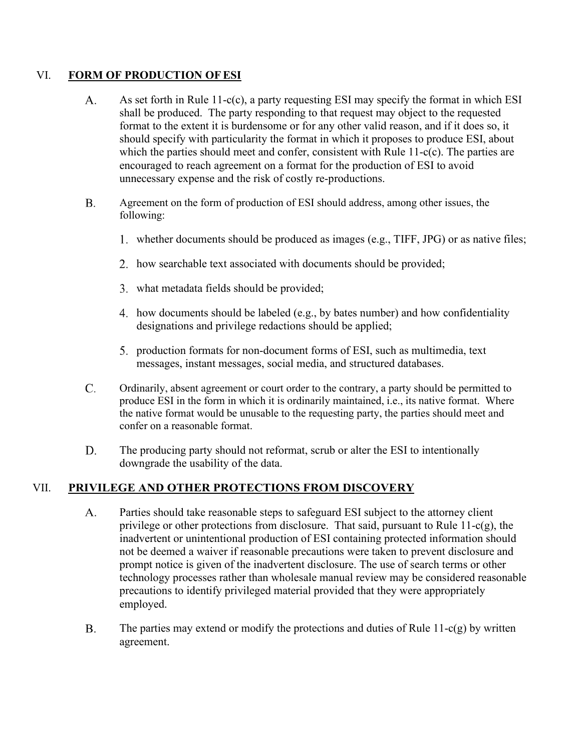#### VI. **FORM OF PRODUCTION OFESI**

- A. As set forth in Rule 11-c(c), a party requesting ESI may specify the format in which ESI shall be produced. The party responding to that request may object to the requested format to the extent it is burdensome or for any other valid reason, and if it does so, it should specify with particularity the format in which it proposes to produce ESI, about which the parties should meet and confer, consistent with Rule 11-c(c). The parties are encouraged to reach agreement on a format for the production of ESI to avoid unnecessary expense and the risk of costly re-productions.
- $B<sub>1</sub>$ Agreement on the form of production of ESI should address, among other issues, the following:
	- whether documents should be produced as images (e.g., TIFF, JPG) or as native files;
	- 2. how searchable text associated with documents should be provided;
	- what metadata fields should be provided;
	- 4. how documents should be labeled (e.g., by bates number) and how confidentiality designations and privilege redactions should be applied;
	- production formats for non-document forms of ESI, such as multimedia, text messages, instant messages, social media, and structured databases.
- $\mathcal{C}$ . Ordinarily, absent agreement or court order to the contrary, a party should be permitted to produce ESI in the form in which it is ordinarily maintained, i.e., its native format. Where the native format would be unusable to the requesting party, the parties should meet and confer on a reasonable format.
- D. The producing party should not reformat, scrub or alter the ESI to intentionally downgrade the usability of the data.

# VII. **PRIVILEGE AND OTHER PROTECTIONS FROM DISCOVERY**

- A. Parties should take reasonable steps to safeguard ESI subject to the attorney client privilege or other protections from disclosure. That said, pursuant to Rule 11-c(g), the inadvertent or unintentional production of ESI containing protected information should not be deemed a waiver if reasonable precautions were taken to prevent disclosure and prompt notice is given of the inadvertent disclosure. The use of search terms or other technology processes rather than wholesale manual review may be considered reasonable precautions to identify privileged material provided that they were appropriately employed.
- $B.$ The parties may extend or modify the protections and duties of Rule  $11-c(g)$  by written agreement.